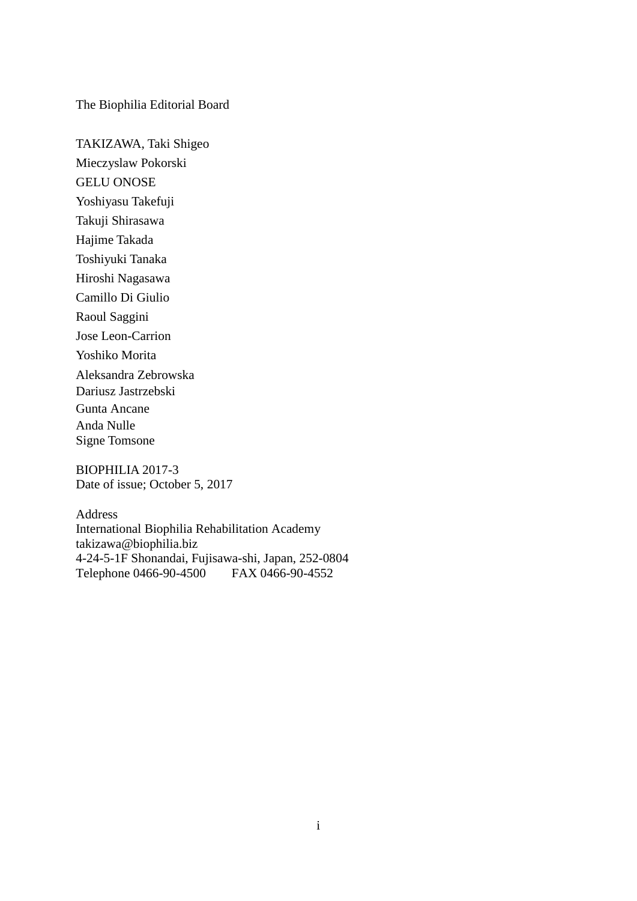The Biophilia Editorial Board

TAKIZAWA, Taki Shigeo Mieczyslaw Pokorski GELU ONOSE Yoshiyasu Takefuji Takuji Shirasawa Hajime Takada Toshiyuki Tanaka Hiroshi Nagasawa Camillo Di Giulio Raoul Saggini Jose Leon-Carrion Yoshiko Morita Aleksandra Zebrowska Dariusz Jastrzebski Gunta Ancane Anda Nulle Signe Tomsone

BIOPHILIA 2017-3 Date of issue; October 5, 2017

Address International Biophilia Rehabilitation Academy takizawa@biophilia.biz 4-24-5-1F Shonandai, Fujisawa-shi, Japan, 252-0804 Telephone 0466-90-4500 FAX 0466-90-4552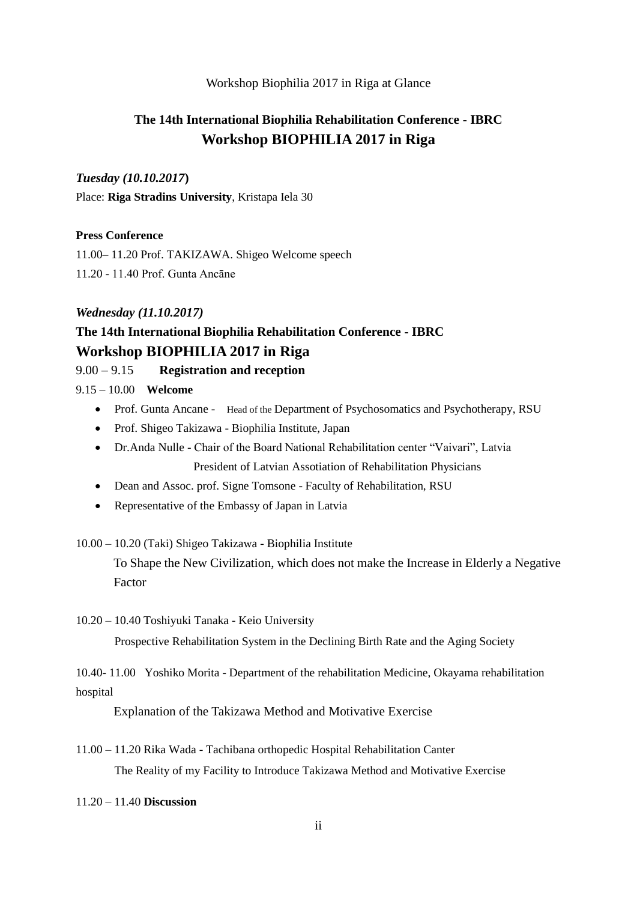### Workshop Biophilia 2017 in Riga at Glance

# **The 14th International Biophilia Rehabilitation Conference - IBRC Workshop BIOPHILIA 2017 in Riga**

## *Tuesday (10.10.2017***)**

Place: **Riga Stradins University**, Kristapa Iela 30

### **Press Conference**

11.00– 11.20 Prof. TAKIZAWA. Shigeo Welcome speech 11.20 - 11.40 Prof. Gunta Ancāne

### *Wednesday (11.10.2017)*

## **The 14th International Biophilia Rehabilitation Conference - IBRC Workshop BIOPHILIA 2017 in Riga**

### 9.00 – 9.15 **Registration and reception**

9.15 – 10.00 **Welcome**

- Prof. Gunta Ancane Head of the Department of Psychosomatics and Psychotherapy, RSU
- Prof. Shigeo Takizawa Biophilia Institute, Japan
- Dr.Anda Nulle Chair of the Board National Rehabilitation center "Vaivari", Latvia President of Latvian Assotiation of Rehabilitation Physicians
- Dean and Assoc. prof. Signe Tomsone Faculty of Rehabilitation, RSU
- Representative of the Embassy of Japan in Latvia

#### 10.00 – 10.20 (Taki) Shigeo Takizawa - Biophilia Institute

To Shape the New Civilization, which does not make the Increase in Elderly a Negative Factor

10.20 – 10.40 Toshiyuki Tanaka - Keio University

Prospective Rehabilitation System in the Declining Birth Rate and the Aging Society

10.40- 11.00 Yoshiko Morita - Department of the rehabilitation Medicine, Okayama rehabilitation hospital

Explanation of the Takizawa Method and Motivative Exercise

11.00 – 11.20 Rika Wada - Tachibana orthopedic Hospital Rehabilitation Canter The Reality of my Facility to Introduce Takizawa Method and Motivative Exercise

11.20 – 11.40 **Discussion**